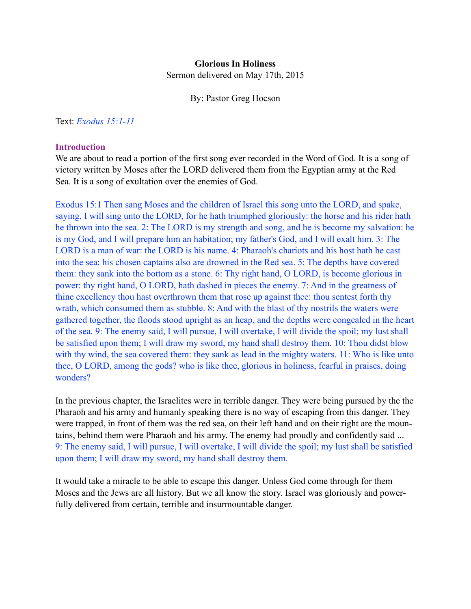#### **Glorious In Holiness**

Sermon delivered on May 17th, 2015

By: Pastor Greg Hocson

Text: *Exodus 15:1-11*

#### **Introduction**

We are about to read a portion of the first song ever recorded in the Word of God. It is a song of victory written by Moses after the LORD delivered them from the Egyptian army at the Red Sea. It is a song of exultation over the enemies of God.

Exodus 15:1 Then sang Moses and the children of Israel this song unto the LORD, and spake, saying, I will sing unto the LORD, for he hath triumphed gloriously: the horse and his rider hath he thrown into the sea. 2: The LORD is my strength and song, and he is become my salvation: he is my God, and I will prepare him an habitation; my father's God, and I will exalt him. 3: The LORD is a man of war: the LORD is his name. 4: Pharaoh's chariots and his host hath he cast into the sea: his chosen captains also are drowned in the Red sea. 5: The depths have covered them: they sank into the bottom as a stone. 6: Thy right hand, O LORD, is become glorious in power: thy right hand, O LORD, hath dashed in pieces the enemy. 7: And in the greatness of thine excellency thou hast overthrown them that rose up against thee: thou sentest forth thy wrath, which consumed them as stubble. 8: And with the blast of thy nostrils the waters were gathered together, the floods stood upright as an heap, and the depths were congealed in the heart of the sea. 9: The enemy said, I will pursue, I will overtake, I will divide the spoil; my lust shall be satisfied upon them; I will draw my sword, my hand shall destroy them. 10: Thou didst blow with thy wind, the sea covered them: they sank as lead in the mighty waters. 11: Who is like unto thee, O LORD, among the gods? who is like thee, glorious in holiness, fearful in praises, doing wonders?

In the previous chapter, the Israelites were in terrible danger. They were being pursued by the the Pharaoh and his army and humanly speaking there is no way of escaping from this danger. They were trapped, in front of them was the red sea, on their left hand and on their right are the mountains, behind them were Pharaoh and his army. The enemy had proudly and confidently said ... 9: The enemy said, I will pursue, I will overtake, I will divide the spoil; my lust shall be satisfied upon them; I will draw my sword, my hand shall destroy them.

It would take a miracle to be able to escape this danger. Unless God come through for them Moses and the Jews are all history. But we all know the story. Israel was gloriously and powerfully delivered from certain, terrible and insurmountable danger.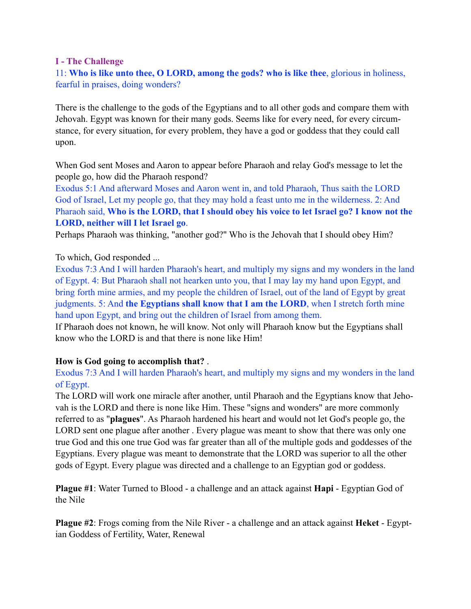# **I - The Challenge**

# 11: **Who is like unto thee, O LORD, among the gods? who is like thee**, glorious in holiness, fearful in praises, doing wonders?

There is the challenge to the gods of the Egyptians and to all other gods and compare them with Jehovah. Egypt was known for their many gods. Seems like for every need, for every circumstance, for every situation, for every problem, they have a god or goddess that they could call upon.

When God sent Moses and Aaron to appear before Pharaoh and relay God's message to let the people go, how did the Pharaoh respond?

Exodus 5:1 And afterward Moses and Aaron went in, and told Pharaoh, Thus saith the LORD God of Israel, Let my people go, that they may hold a feast unto me in the wilderness. 2: And Pharaoh said, **Who is the LORD, that I should obey his voice to let Israel go? I know not the LORD, neither will I let Israel go**.

Perhaps Pharaoh was thinking, "another god?" Who is the Jehovah that I should obey Him?

# To which, God responded ...

Exodus 7:3 And I will harden Pharaoh's heart, and multiply my signs and my wonders in the land of Egypt. 4: But Pharaoh shall not hearken unto you, that I may lay my hand upon Egypt, and bring forth mine armies, and my people the children of Israel, out of the land of Egypt by great judgments. 5: And **the Egyptians shall know that I am the LORD**, when I stretch forth mine hand upon Egypt, and bring out the children of Israel from among them.

If Pharaoh does not known, he will know. Not only will Pharaoh know but the Egyptians shall know who the LORD is and that there is none like Him!

# **How is God going to accomplish that?** .

# Exodus 7:3 And I will harden Pharaoh's heart, and multiply my signs and my wonders in the land of Egypt.

The LORD will work one miracle after another, until Pharaoh and the Egyptians know that Jehovah is the LORD and there is none like Him. These "signs and wonders" are more commonly referred to as "**plagues**". As Pharaoh hardened his heart and would not let God's people go, the LORD sent one plague after another . Every plague was meant to show that there was only one true God and this one true God was far greater than all of the multiple gods and goddesses of the Egyptians. Every plague was meant to demonstrate that the LORD was superior to all the other gods of Egypt. Every plague was directed and a challenge to an Egyptian god or goddess.

**Plague #1**: Water Turned to Blood - a challenge and an attack against **Hapi** - Egyptian God of the Nile

**Plague #2**: Frogs coming from the Nile River - a challenge and an attack against **Heket** - Egyptian Goddess of Fertility, Water, Renewal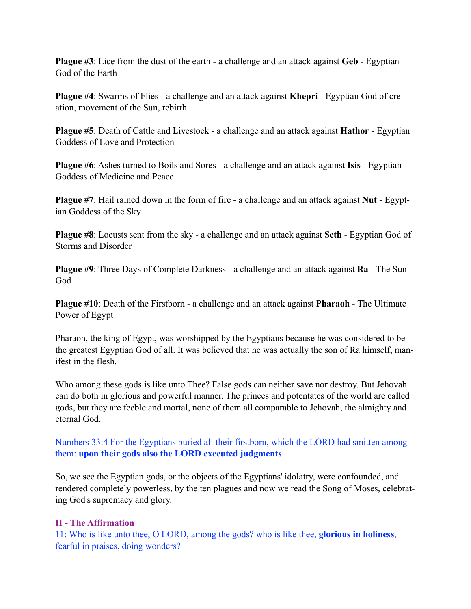**Plague #3**: Lice from the dust of the earth - a challenge and an attack against **Geb** - Egyptian God of the Earth

**Plague #4**: Swarms of Flies - a challenge and an attack against **Khepri** - Egyptian God of creation, movement of the Sun, rebirth

**Plague #5**: Death of Cattle and Livestock - a challenge and an attack against **Hathor** - Egyptian Goddess of Love and Protection

**Plague #6**: Ashes turned to Boils and Sores - a challenge and an attack against **Isis** - Egyptian Goddess of Medicine and Peace

**Plague #7**: Hail rained down in the form of fire - a challenge and an attack against **Nut** - Egyptian Goddess of the Sky

**Plague #8**: Locusts sent from the sky - a challenge and an attack against **Seth** - Egyptian God of Storms and Disorder

**Plague #9**: Three Days of Complete Darkness - a challenge and an attack against **Ra** - The Sun God

**Plague #10**: Death of the Firstborn - a challenge and an attack against **Pharaoh** - The Ultimate Power of Egypt

Pharaoh, the king of Egypt, was worshipped by the Egyptians because he was considered to be the greatest Egyptian God of all. It was believed that he was actually the son of Ra himself, manifest in the flesh.

Who among these gods is like unto Thee? False gods can neither save nor destroy. But Jehovah can do both in glorious and powerful manner. The princes and potentates of the world are called gods, but they are feeble and mortal, none of them all comparable to Jehovah, the almighty and eternal God.

Numbers 33:4 For the Egyptians buried all their firstborn, which the LORD had smitten among them: **upon their gods also the LORD executed judgments**.

So, we see the Egyptian gods, or the objects of the Egyptians' idolatry, were confounded, and rendered completely powerless, by the ten plagues and now we read the Song of Moses, celebrating God's supremacy and glory.

# **II - The Affirmation**

11: Who is like unto thee, O LORD, among the gods? who is like thee, **glorious in holiness**, fearful in praises, doing wonders?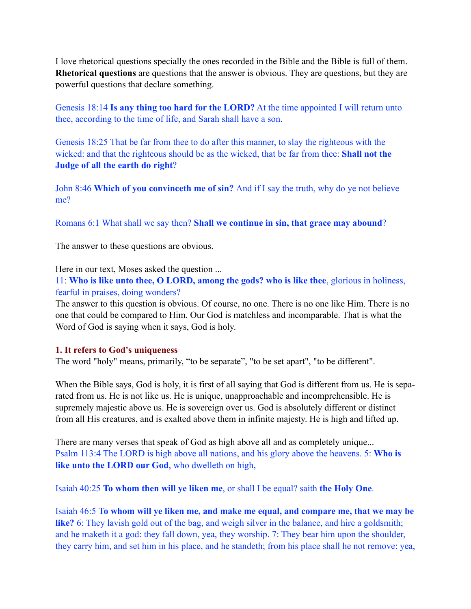I love rhetorical questions specially the ones recorded in the Bible and the Bible is full of them. **Rhetorical questions** are questions that the answer is obvious. They are questions, but they are powerful questions that declare something.

Genesis 18:14 **Is any thing too hard for the LORD?** At the time appointed I will return unto thee, according to the time of life, and Sarah shall have a son.

Genesis 18:25 That be far from thee to do after this manner, to slay the righteous with the wicked: and that the righteous should be as the wicked, that be far from thee: **Shall not the Judge of all the earth do right**?

John 8:46 **Which of you convinceth me of sin?** And if I say the truth, why do ye not believe me?

Romans 6:1 What shall we say then? **Shall we continue in sin, that grace may abound**?

The answer to these questions are obvious.

Here in our text, Moses asked the question ...

11: **Who is like unto thee, O LORD, among the gods? who is like thee**, glorious in holiness, fearful in praises, doing wonders?

The answer to this question is obvious. Of course, no one. There is no one like Him. There is no one that could be compared to Him. Our God is matchless and incomparable. That is what the Word of God is saying when it says, God is holy.

# **1. It refers to God's uniqueness**

The word "holy" means, primarily, "to be separate", "to be set apart", "to be different".

When the Bible says, God is holy, it is first of all saying that God is different from us. He is separated from us. He is not like us. He is unique, unapproachable and incomprehensible. He is supremely majestic above us. He is sovereign over us. God is absolutely different or distinct from all His creatures, and is exalted above them in infinite majesty. He is high and lifted up.

There are many verses that speak of God as high above all and as completely unique... Psalm 113:4 The LORD is high above all nations, and his glory above the heavens. 5: **Who is like unto the LORD our God**, who dwelleth on high,

Isaiah 40:25 **To whom then will ye liken me**, or shall I be equal? saith **the Holy One**.

Isaiah 46:5 **To whom will ye liken me, and make me equal, and compare me, that we may be like?** 6: They lavish gold out of the bag, and weigh silver in the balance, and hire a goldsmith; and he maketh it a god: they fall down, yea, they worship. 7: They bear him upon the shoulder, they carry him, and set him in his place, and he standeth; from his place shall he not remove: yea,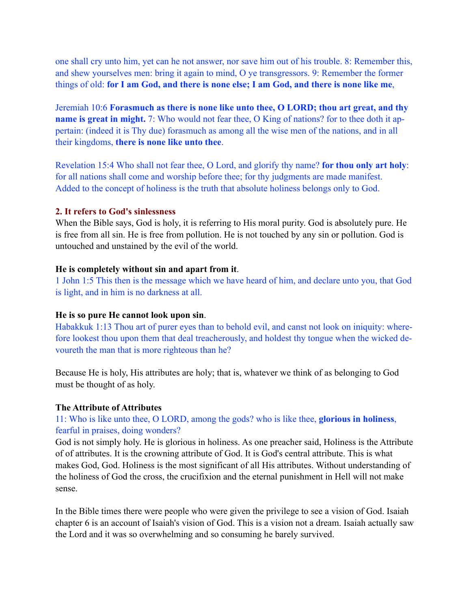one shall cry unto him, yet can he not answer, nor save him out of his trouble. 8: Remember this, and shew yourselves men: bring it again to mind, O ye transgressors. 9: Remember the former things of old: **for I am God, and there is none else; I am God, and there is none like me**,

Jeremiah 10:6 **Forasmuch as there is none like unto thee, O LORD; thou art great, and thy name is great in might.** 7: Who would not fear thee, O King of nations? for to thee doth it appertain: (indeed it is Thy due) forasmuch as among all the wise men of the nations, and in all their kingdoms, **there is none like unto thee**.

Revelation 15:4 Who shall not fear thee, O Lord, and glorify thy name? **for thou only art holy**: for all nations shall come and worship before thee; for thy judgments are made manifest. Added to the concept of holiness is the truth that absolute holiness belongs only to God.

#### **2. It refers to God's sinlessness**

When the Bible says, God is holy, it is referring to His moral purity. God is absolutely pure. He is free from all sin. He is free from pollution. He is not touched by any sin or pollution. God is untouched and unstained by the evil of the world.

#### **He is completely without sin and apart from it**.

1 John 1:5 This then is the message which we have heard of him, and declare unto you, that God is light, and in him is no darkness at all.

#### **He is so pure He cannot look upon sin**.

Habakkuk 1:13 Thou art of purer eyes than to behold evil, and canst not look on iniquity: wherefore lookest thou upon them that deal treacherously, and holdest thy tongue when the wicked devoureth the man that is more righteous than he?

Because He is holy, His attributes are holy; that is, whatever we think of as belonging to God must be thought of as holy.

#### **The Attribute of Attributes**

# 11: Who is like unto thee, O LORD, among the gods? who is like thee, **glorious in holiness**, fearful in praises, doing wonders?

God is not simply holy. He is glorious in holiness. As one preacher said, Holiness is the Attribute of of attributes. It is the crowning attribute of God. It is God's central attribute. This is what makes God, God. Holiness is the most significant of all His attributes. Without understanding of the holiness of God the cross, the crucifixion and the eternal punishment in Hell will not make sense.

In the Bible times there were people who were given the privilege to see a vision of God. Isaiah chapter 6 is an account of Isaiah's vision of God. This is a vision not a dream. Isaiah actually saw the Lord and it was so overwhelming and so consuming he barely survived.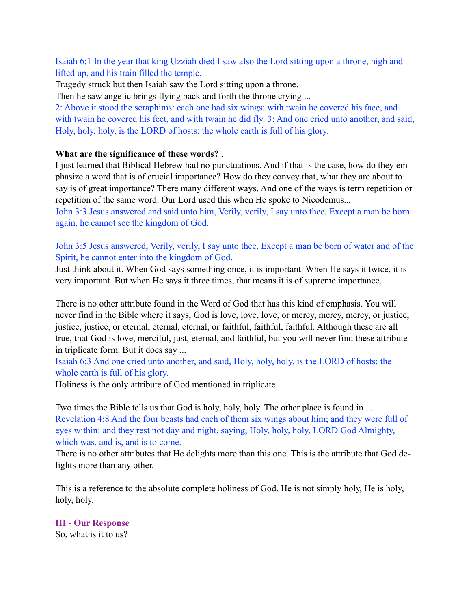Isaiah 6:1 In the year that king Uzziah died I saw also the Lord sitting upon a throne, high and lifted up, and his train filled the temple.

Tragedy struck but then Isaiah saw the Lord sitting upon a throne.

Then he saw angelic brings flying back and forth the throne crying ...

2: Above it stood the seraphims: each one had six wings; with twain he covered his face, and with twain he covered his feet, and with twain he did fly. 3: And one cried unto another, and said, Holy, holy, holy, is the LORD of hosts: the whole earth is full of his glory.

# **What are the significance of these words?** .

I just learned that Biblical Hebrew had no punctuations. And if that is the case, how do they emphasize a word that is of crucial importance? How do they convey that, what they are about to say is of great importance? There many different ways. And one of the ways is term repetition or repetition of the same word. Our Lord used this when He spoke to Nicodemus...

John 3:3 Jesus answered and said unto him, Verily, verily, I say unto thee, Except a man be born again, he cannot see the kingdom of God.

John 3:5 Jesus answered, Verily, verily, I say unto thee, Except a man be born of water and of the Spirit, he cannot enter into the kingdom of God.

Just think about it. When God says something once, it is important. When He says it twice, it is very important. But when He says it three times, that means it is of supreme importance.

There is no other attribute found in the Word of God that has this kind of emphasis. You will never find in the Bible where it says, God is love, love, love, or mercy, mercy, mercy, or justice, justice, justice, or eternal, eternal, eternal, or faithful, faithful, faithful. Although these are all true, that God is love, merciful, just, eternal, and faithful, but you will never find these attribute in triplicate form. But it does say ...

Isaiah 6:3 And one cried unto another, and said, Holy, holy, holy, is the LORD of hosts: the whole earth is full of his glory.

Holiness is the only attribute of God mentioned in triplicate.

Two times the Bible tells us that God is holy, holy, holy. The other place is found in ... Revelation 4:8 And the four beasts had each of them six wings about him; and they were full of eyes within: and they rest not day and night, saying, Holy, holy, holy, LORD God Almighty, which was, and is, and is to come.

There is no other attributes that He delights more than this one. This is the attribute that God delights more than any other.

This is a reference to the absolute complete holiness of God. He is not simply holy, He is holy, holy, holy.

# **III - Our Response**

So, what is it to us?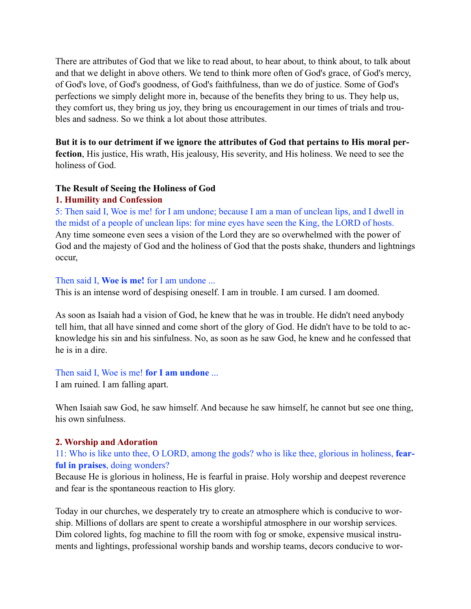There are attributes of God that we like to read about, to hear about, to think about, to talk about and that we delight in above others. We tend to think more often of God's grace, of God's mercy, of God's love, of God's goodness, of God's faithfulness, than we do of justice. Some of God's perfections we simply delight more in, because of the benefits they bring to us. They help us, they comfort us, they bring us joy, they bring us encouragement in our times of trials and troubles and sadness. So we think a lot about those attributes.

#### **But it is to our detriment if we ignore the attributes of God that pertains to His moral perfection**, His justice, His wrath, His jealousy, His severity, and His holiness. We need to see the holiness of God.

#### **The Result of Seeing the Holiness of God**

#### **1. Humility and Confession**

5: Then said I, Woe is me! for I am undone; because I am a man of unclean lips, and I dwell in the midst of a people of unclean lips: for mine eyes have seen the King, the LORD of hosts. Any time someone even sees a vision of the Lord they are so overwhelmed with the power of God and the majesty of God and the holiness of God that the posts shake, thunders and lightnings occur,

#### Then said I, **Woe is me!** for I am undone ...

This is an intense word of despising oneself. I am in trouble. I am cursed. I am doomed.

As soon as Isaiah had a vision of God, he knew that he was in trouble. He didn't need anybody tell him, that all have sinned and come short of the glory of God. He didn't have to be told to acknowledge his sin and his sinfulness. No, as soon as he saw God, he knew and he confessed that he is in a dire.

#### Then said I, Woe is me! **for I am undone** ...

I am ruined. I am falling apart.

When Isaiah saw God, he saw himself. And because he saw himself, he cannot but see one thing, his own sinfulness.

#### **2. Worship and Adoration**

#### 11: Who is like unto thee, O LORD, among the gods? who is like thee, glorious in holiness, **fearful in praises**, doing wonders?

Because He is glorious in holiness, He is fearful in praise. Holy worship and deepest reverence and fear is the spontaneous reaction to His glory.

Today in our churches, we desperately try to create an atmosphere which is conducive to worship. Millions of dollars are spent to create a worshipful atmosphere in our worship services. Dim colored lights, fog machine to fill the room with fog or smoke, expensive musical instruments and lightings, professional worship bands and worship teams, decors conducive to wor